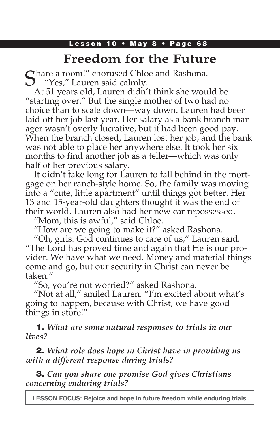## Lesson 10 • May 8 • Page 68

# **Freedom for the Future**

 $\bigcap$  hare a room!" chorused Chloe and Rashona. Yes," Lauren said calmly.

At 51 years old, Lauren didn't think she would be "starting over." But the single mother of two had no choice than to scale down—way down. Lauren had been laid off her job last year. Her salary as a bank branch manager wasn't overly lucrative, but it had been good pay. When the branch closed, Lauren lost her job, and the bank was not able to place her anywhere else. It took her six months to find another job as a teller—which was only half of her previous salary.

It didn't take long for Lauren to fall behind in the mortgage on her ranch-style home. So, the family was moving into a "cute, little apartment" until things got better. Her 13 and 15-year-old daughters thought it was the end of their world. Lauren also had her new car repossessed.

"Mom, this is awful," said Chloe.

"How are we going to make it?" asked Rashona.

"Oh, girls. God continues to care of us," Lauren said. "The Lord has proved time and again that He is our provider. We have what we need. Money and material things come and go, but our security in Christ can never be taken."

"So, you're not worried?" asked Rashona.

"Not at all," smiled Lauren. "I'm excited about what's going to happen, because with Christ, we have good things in store!"

1. *What are some natural responses to trials in our lives?*

2. *What role does hope in Christ have in providing us with a different response during trials?*

3. *Can you share one promise God gives Christians concerning enduring trials?*

**LESSON FOCUS: Rejoice and hope in future freedom while enduring trials..**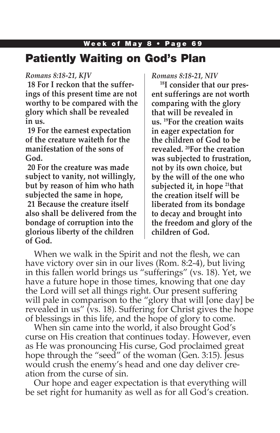# Week of May 8 • Page 69 Patiently Waiting on God's Plan

### *Romans 8:18-21, KJV*

**18 For I reckon that the sufferings of this present time are not worthy to be compared with the glory which shall be revealed in us.**

**19 For the earnest expectation of the creature waiteth for the manifestation of the sons of God.**

**20 For the creature was made subject to vanity, not willingly, but by reason of him who hath subjected the same in hope, 21 Because the creature itself also shall be delivered from the bondage of corruption into the glorious liberty of the children** 

**of God.**

*Romans 8:18-21, NIV* 

**18I consider that our present sufferings are not worth comparing with the glory that will be revealed in us. 19For the creation waits in eager expectation for the children of God to be revealed. 20For the creation was subjected to frustration, not by its own choice, but by the will of the one who subjected it, in hope 21that the creation itself will be liberated from its bondage to decay and brought into the freedom and glory of the children of God.**

When we walk in the Spirit and not the flesh, we can have victory over sin in our lives (Rom. 8:2-4), but living in this fallen world brings us "sufferings" (vs. 18). Yet, we have a future hope in those times, knowing that one day the Lord will set all things right. Our present suffering will pale in comparison to the "glory that will [one day] be revealed in us" (vs. 18). Suffering for Christ gives the hope of blessings in this life, and the hope of glory to come.

When sin came into the world, it also brought God's curse on His creation that continues today. However, even as He was pronouncing His curse, God proclaimed great hope through the "seed" of the woman (Gen. 3:15). Jesus would crush the enemy's head and one day deliver creation from the curse of sin.

Our hope and eager expectation is that everything will be set right for humanity as well as for all God's creation.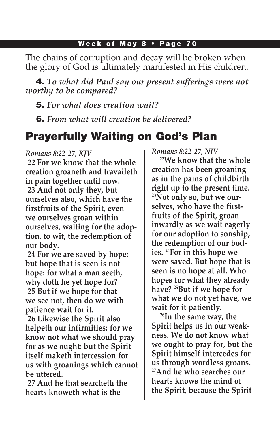The chains of corruption and decay will be broken when the glory of God is ultimately manifested in His children.

4. *To what did Paul say our present sufferings were not worthy to be compared?*

5. *For what does creation wait?*

6. *From what will creation be delivered?*

# Prayerfully Waiting on God's Plan

#### *Romans 8:22-27, KJV*

**22 For we know that the whole creation groaneth and travaileth in pain together until now. 23 And not only they, but ourselves also, which have the firstfruits of the Spirit, even we ourselves groan within ourselves, waiting for the adoption, to wit, the redemption of our body.**

**24 For we are saved by hope: but hope that is seen is not hope: for what a man seeth, why doth he yet hope for? 25 But if we hope for that we see not, then do we with patience wait for it.**

**26 Likewise the Spirit also helpeth our infirmities: for we know not what we should pray for as we ought: but the Spirit itself maketh intercession for us with groanings which cannot be uttered.**

**27 And he that searcheth the hearts knoweth what is the** 

*Romans 8:22-27, NIV* 

**22We know that the whole creation has been groaning as in the pains of childbirth right up to the present time. 23Not only so, but we ourselves, who have the firstfruits of the Spirit, groan inwardly as we wait eagerly for our adoption to sonship, the redemption of our bodies. 24For in this hope we were saved. But hope that is seen is no hope at all. Who hopes for what they already have? 25But if we hope for what we do not yet have, we wait for it patiently.**

**26In the same way, the Spirit helps us in our weakness. We do not know what we ought to pray for, but the Spirit himself intercedes for us through wordless groans. 27And he who searches our hearts knows the mind of the Spirit, because the Spirit**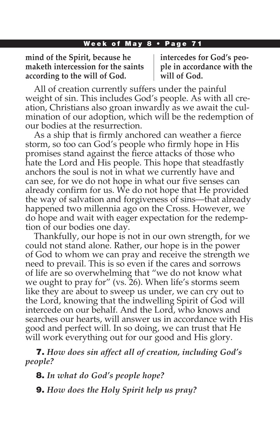**mind of the Spirit, because he maketh intercession for the saints according to the will of God.**

**intercedes for God's people in accordance with the will of God.**

All of creation currently suffers under the painful weight of sin. This includes God's people. As with all creation, Christians also groan inwardly as we await the culmination of our adoption, which will be the redemption of our bodies at the resurrection.

As a ship that is firmly anchored can weather a fierce storm, so too can God's people who firmly hope in His promises stand against the fierce attacks of those who hate the Lord and His people. This hope that steadfastly anchors the soul is not in what we currently have and can see, for we do not hope in what our five senses can already confirm for us. We do not hope that He provided the way of salvation and forgiveness of sins—that already happened two millennia ago on the Cross. However, we do hope and wait with eager expectation for the redemption of our bodies one day.

Thankfully, our hope is not in our own strength, for we could not stand alone. Rather, our hope is in the power of God to whom we can pray and receive the strength we need to prevail. This is so even if the cares and sorrows of life are so overwhelming that "we do not know what we ought to pray for" (vs. 26). When life's storms seem like they are about to sweep us under, we can cry out to the Lord, knowing that the indwelling Spirit of God will intercede on our behalf. And the Lord, who knows and searches our hearts, will answer us in accordance with His good and perfect will. In so doing, we can trust that He will work everything out for our good and His glory.

7. *How does sin affect all of creation, including God's people?* 

8. *In what do God's people hope?*

9. *How does the Holy Spirit help us pray?*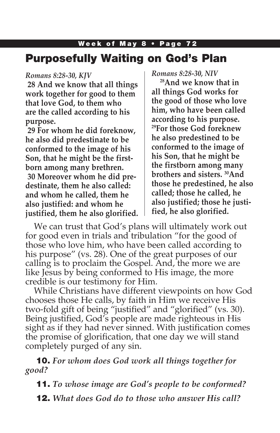# Purposefully Waiting on God's Plan

#### *Romans 8:28-30, KJV*

**28 And we know that all things work together for good to them that love God, to them who are the called according to his purpose.**

**29 For whom he did foreknow, he also did predestinate to be conformed to the image of his Son, that he might be the firstborn among many brethren. 30 Moreover whom he did predestinate, them he also called: and whom he called, them he also justified: and whom he justified, them he also glorified.** *Romans 8:28-30, NIV*

**28And we know that in all things God works for the good of those who love him, who have been called according to his purpose. 29For those God foreknew he also predestined to be conformed to the image of his Son, that he might be the firstborn among many brothers and sisters. 30And those he predestined, he also called; those he called, he also justified; those he justified, he also glorified.**

We can trust that God's plans will ultimately work out for good even in trials and tribulation "for the good of those who love him, who have been called according to his purpose" (vs. 28). One of the great purposes of our calling is to proclaim the Gospel. And, the more we are like Jesus by being conformed to His image, the more credible is our testimony for Him.

While Christians have different viewpoints on how God chooses those He calls, by faith in Him we receive His two-fold gift of being "justified" and "glorified" (vs. 30). Being justified, God's people are made righteous in His sight as if they had never sinned. With justification comes the promise of glorification, that one day we will stand completely purged of any sin.

10. *For whom does God work all things together for good?* 

11. *To whose image are God's people to be conformed?*

12. *What does God do to those who answer His call?*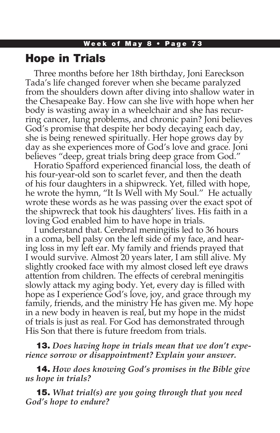## Hope in Trials

Three months before her 18th birthday, Joni Eareckson Tada's life changed forever when she became paralyzed from the shoulders down after diving into shallow water in the Chesapeake Bay. How can she live with hope when her body is wasting away in a wheelchair and she has recurring cancer, lung problems, and chronic pain? Joni believes God's promise that despite her body decaying each day, she is being renewed spiritually. Her hope grows day by day as she experiences more of God's love and grace. Joni believes "deep, great trials bring deep grace from God."

Horatio Spafford experienced financial loss, the death of his four-year-old son to scarlet fever, and then the death of his four daughters in a shipwreck. Yet, filled with hope, he wrote the hymn, "It Is Well with My Soul." He actually wrote these words as he was passing over the exact spot of the shipwreck that took his daughters' lives. His faith in a loving God enabled him to have hope in trials.

I understand that. Cerebral meningitis led to 36 hours in a coma, bell palsy on the left side of my face, and hearing loss in my left ear. My family and friends prayed that I would survive. Almost 20 years later, I am still alive. My slightly crooked face with my almost closed left eye draws attention from children. The effects of cerebral meningitis slowly attack my aging body. Yet, every day is filled with hope as I experience God's love, joy, and grace through my family, friends, and the ministry He has given me. My hope in a new body in heaven is real, but my hope in the midst of trials is just as real. For God has demonstrated through His Son that there is future freedom from trials.

13. *Does having hope in trials mean that we don't experience sorrow or disappointment? Explain your answer.*

14. *How does knowing God's promises in the Bible give us hope in trials?*

15. *What trial(s) are you going through that you need God's hope to endure?*